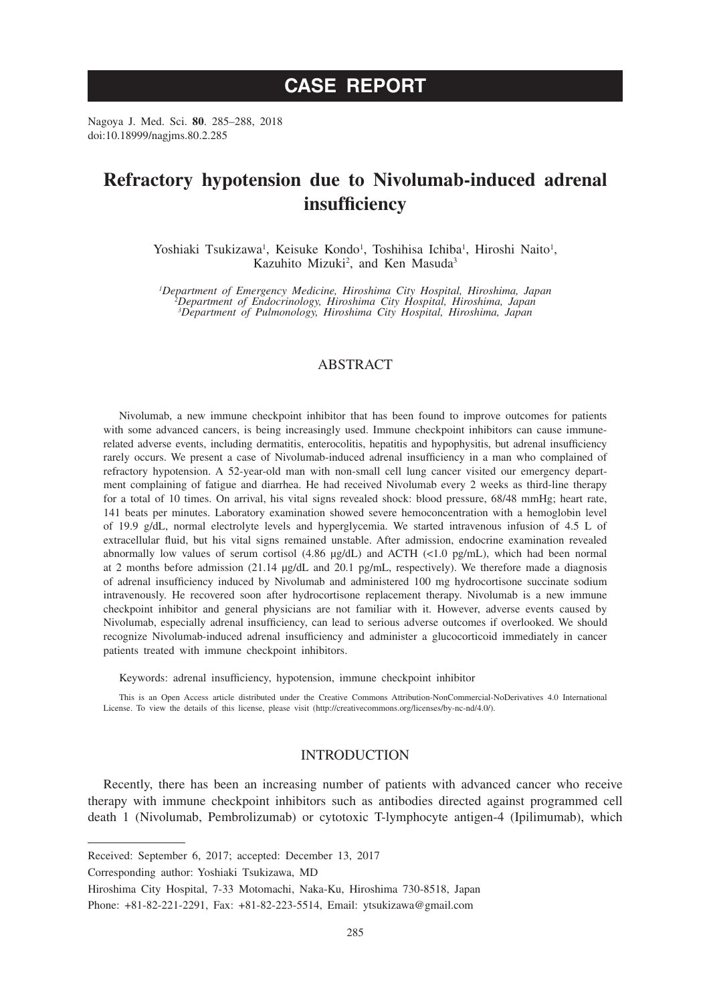# **CASE REPORT**

Nagoya J. Med. Sci. **80**. 285–288, 2018 doi:10.18999/nagjms.80.2.285

## **Refractory hypotension due to Nivolumab-induced adrenal insufficiency**

Yoshiaki Tsukizawa<sup>1</sup>, Keisuke Kondo<sup>1</sup>, Toshihisa Ichiba<sup>1</sup>, Hiroshi Naito<sup>1</sup>, Kazuhito Mizuki<sup>2</sup>, and Ken Masuda<sup>3</sup>

*1 Department of Emergency Medicine, Hiroshima City Hospital, Hiroshima, Japan <sup>2</sup> Department of Endocrinology, Hiroshima City Hospital, Hiroshima, Japan 3 Department of Pulmonology, Hiroshima City Hospital, Hiroshima, Japan*

## ABSTRACT

Nivolumab, a new immune checkpoint inhibitor that has been found to improve outcomes for patients with some advanced cancers, is being increasingly used. Immune checkpoint inhibitors can cause immunerelated adverse events, including dermatitis, enterocolitis, hepatitis and hypophysitis, but adrenal insufficiency rarely occurs. We present a case of Nivolumab-induced adrenal insufficiency in a man who complained of refractory hypotension. A 52-year-old man with non-small cell lung cancer visited our emergency department complaining of fatigue and diarrhea. He had received Nivolumab every 2 weeks as third-line therapy for a total of 10 times. On arrival, his vital signs revealed shock: blood pressure, 68/48 mmHg; heart rate, 141 beats per minutes. Laboratory examination showed severe hemoconcentration with a hemoglobin level of 19.9 g/dL, normal electrolyte levels and hyperglycemia. We started intravenous infusion of 4.5 L of extracellular fluid, but his vital signs remained unstable. After admission, endocrine examination revealed abnormally low values of serum cortisol (4.86 μg/dL) and ACTH (<1.0 pg/mL), which had been normal at 2 months before admission (21.14 μg/dL and 20.1 pg/mL, respectively). We therefore made a diagnosis of adrenal insufficiency induced by Nivolumab and administered 100 mg hydrocortisone succinate sodium intravenously. He recovered soon after hydrocortisone replacement therapy. Nivolumab is a new immune checkpoint inhibitor and general physicians are not familiar with it. However, adverse events caused by Nivolumab, especially adrenal insufficiency, can lead to serious adverse outcomes if overlooked. We should recognize Nivolumab-induced adrenal insufficiency and administer a glucocorticoid immediately in cancer patients treated with immune checkpoint inhibitors.

Keywords: adrenal insufficiency, hypotension, immune checkpoint inhibitor

This is an Open Access article distributed under the Creative Commons Attribution-NonCommercial-NoDerivatives 4.0 International License. To view the details of this license, please visit (http://creativecommons.org/licenses/by-nc-nd/4.0/).

## INTRODUCTION

Recently, there has been an increasing number of patients with advanced cancer who receive therapy with immune checkpoint inhibitors such as antibodies directed against programmed cell death 1 (Nivolumab, Pembrolizumab) or cytotoxic T-lymphocyte antigen-4 (Ipilimumab), which

Hiroshima City Hospital, 7-33 Motomachi, Naka-Ku, Hiroshima 730-8518, Japan

Received: September 6, 2017; accepted: December 13, 2017

Corresponding author: Yoshiaki Tsukizawa, MD

Phone: +81-82-221-2291, Fax: +81-82-223-5514, Email: ytsukizawa@gmail.com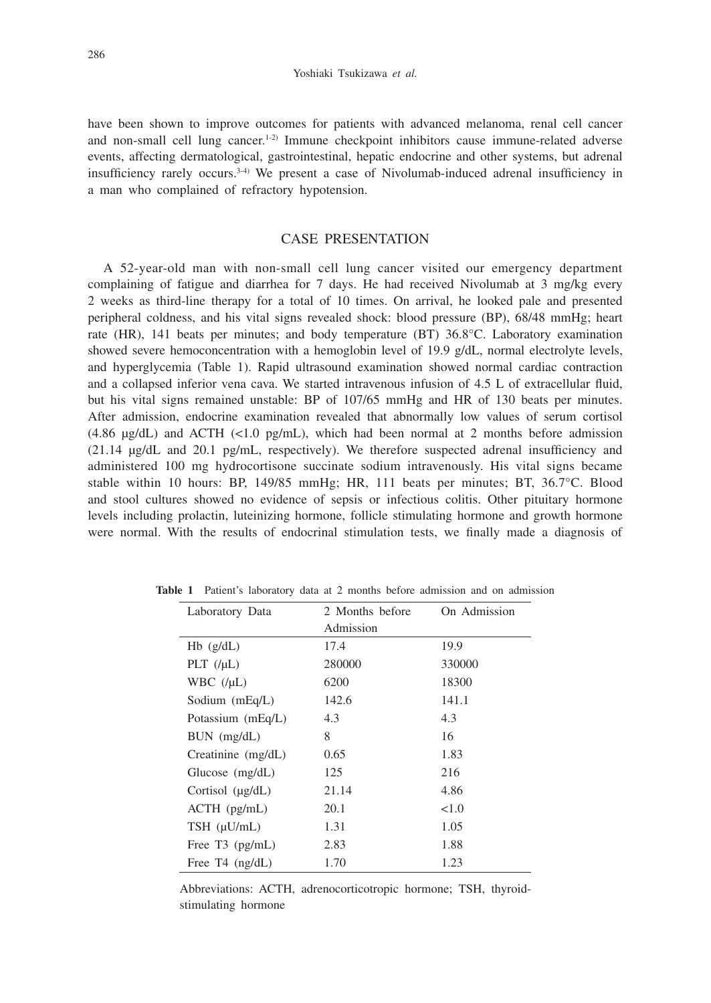have been shown to improve outcomes for patients with advanced melanoma, renal cell cancer and non-small cell lung cancer.<sup>1-2)</sup> Immune checkpoint inhibitors cause immune-related adverse events, affecting dermatological, gastrointestinal, hepatic endocrine and other systems, but adrenal insufficiency rarely occurs.3-4) We present a case of Nivolumab-induced adrenal insufficiency in a man who complained of refractory hypotension.

### CASE PRESENTATION

A 52-year-old man with non-small cell lung cancer visited our emergency department complaining of fatigue and diarrhea for 7 days. He had received Nivolumab at 3 mg/kg every 2 weeks as third-line therapy for a total of 10 times. On arrival, he looked pale and presented peripheral coldness, and his vital signs revealed shock: blood pressure (BP), 68/48 mmHg; heart rate (HR), 141 beats per minutes; and body temperature (BT) 36.8°C. Laboratory examination showed severe hemoconcentration with a hemoglobin level of 19.9 g/dL, normal electrolyte levels, and hyperglycemia (Table 1). Rapid ultrasound examination showed normal cardiac contraction and a collapsed inferior vena cava. We started intravenous infusion of 4.5 L of extracellular fluid, but his vital signs remained unstable: BP of 107/65 mmHg and HR of 130 beats per minutes. After admission, endocrine examination revealed that abnormally low values of serum cortisol  $(4.86 \mu g/dL)$  and ACTH  $(<1.0 \mu g/mL)$ , which had been normal at 2 months before admission (21.14 μg/dL and 20.1 pg/mL, respectively). We therefore suspected adrenal insufficiency and administered 100 mg hydrocortisone succinate sodium intravenously. His vital signs became stable within 10 hours: BP, 149/85 mmHg; HR, 111 beats per minutes; BT, 36.7°C. Blood and stool cultures showed no evidence of sepsis or infectious colitis. Other pituitary hormone levels including prolactin, luteinizing hormone, follicle stimulating hormone and growth hormone were normal. With the results of endocrinal stimulation tests, we finally made a diagnosis of

| Laboratory Data       | 2 Months before | On Admission |
|-----------------------|-----------------|--------------|
|                       | Admission       |              |
| $Hb$ (g/dL)           | 17.4            | 19.9         |
| PLT $(\mu L)$         | 280000          | 330000       |
| WBC $(\mu L)$         | 6200            | 18300        |
| Sodium $(mEq/L)$      | 142.6           | 141.1        |
| Potassium (mEq/L)     | 4.3             | 4.3          |
| $BUN$ (mg/dL)         | 8               | 16           |
| Creatinine $(mg/dL)$  | 0.65            | 1.83         |
| Glucose $(mg/dL)$     | 125             | 216          |
| Cortisol $(\mu g/dL)$ | 21.14           | 4.86         |
| $ACTH$ ( $pg/mL$ )    | 20.1            | < 1.0        |
| $TSH$ ( $\mu U/mL$ )  | 1.31            | 1.05         |
| Free $T3$ (pg/mL)     | 2.83            | 1.88         |
| Free $T4$ (ng/dL)     | 1.70            | 1.23         |

**Table 1** Patient's laboratory data at 2 months before admission and on admission

Abbreviations: ACTH, adrenocorticotropic hormone; TSH, thyroidstimulating hormone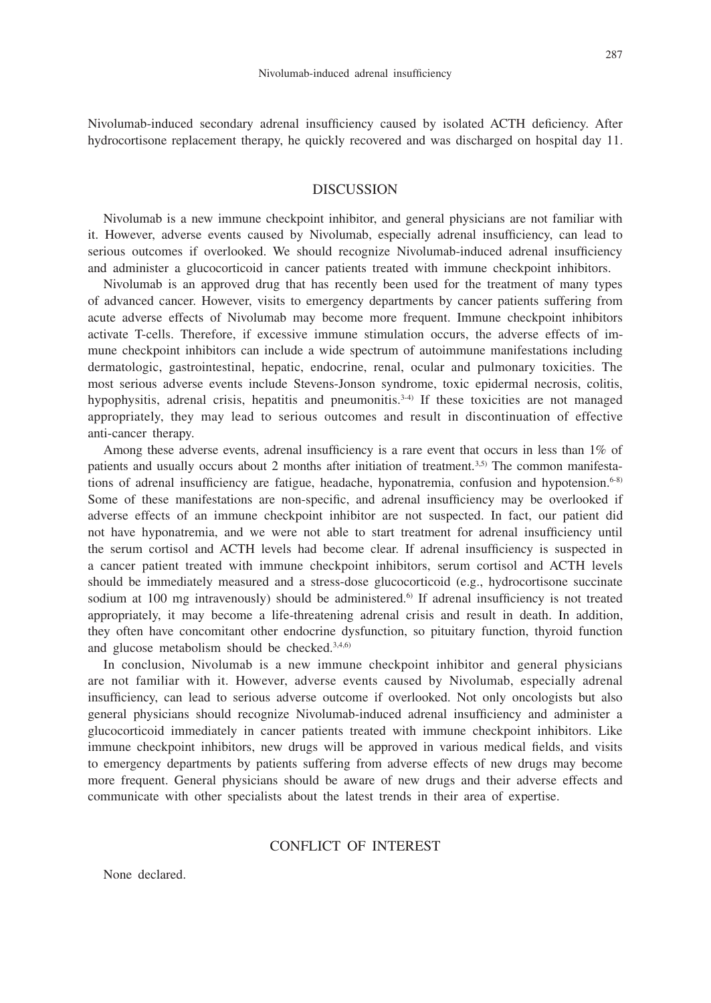Nivolumab-induced secondary adrenal insufficiency caused by isolated ACTH deficiency. After hydrocortisone replacement therapy, he quickly recovered and was discharged on hospital day 11.

#### DISCUSSION

Nivolumab is a new immune checkpoint inhibitor, and general physicians are not familiar with it. However, adverse events caused by Nivolumab, especially adrenal insufficiency, can lead to serious outcomes if overlooked. We should recognize Nivolumab-induced adrenal insufficiency and administer a glucocorticoid in cancer patients treated with immune checkpoint inhibitors.

Nivolumab is an approved drug that has recently been used for the treatment of many types of advanced cancer. However, visits to emergency departments by cancer patients suffering from acute adverse effects of Nivolumab may become more frequent. Immune checkpoint inhibitors activate T-cells. Therefore, if excessive immune stimulation occurs, the adverse effects of immune checkpoint inhibitors can include a wide spectrum of autoimmune manifestations including dermatologic, gastrointestinal, hepatic, endocrine, renal, ocular and pulmonary toxicities. The most serious adverse events include Stevens-Jonson syndrome, toxic epidermal necrosis, colitis, hypophysitis, adrenal crisis, hepatitis and pneumonitis.<sup>3-4)</sup> If these toxicities are not managed appropriately, they may lead to serious outcomes and result in discontinuation of effective anti-cancer therapy.

Among these adverse events, adrenal insufficiency is a rare event that occurs in less than 1% of patients and usually occurs about 2 months after initiation of treatment.<sup>3,5)</sup> The common manifestations of adrenal insufficiency are fatigue, headache, hyponatremia, confusion and hypotension.<sup>6-8)</sup> Some of these manifestations are non-specific, and adrenal insufficiency may be overlooked if adverse effects of an immune checkpoint inhibitor are not suspected. In fact, our patient did not have hyponatremia, and we were not able to start treatment for adrenal insufficiency until the serum cortisol and ACTH levels had become clear. If adrenal insufficiency is suspected in a cancer patient treated with immune checkpoint inhibitors, serum cortisol and ACTH levels should be immediately measured and a stress-dose glucocorticoid (e.g., hydrocortisone succinate sodium at 100 mg intravenously) should be administered.<sup>6</sup> If adrenal insufficiency is not treated appropriately, it may become a life-threatening adrenal crisis and result in death. In addition, they often have concomitant other endocrine dysfunction, so pituitary function, thyroid function and glucose metabolism should be checked.<sup>3,4,6)</sup>

In conclusion, Nivolumab is a new immune checkpoint inhibitor and general physicians are not familiar with it. However, adverse events caused by Nivolumab, especially adrenal insufficiency, can lead to serious adverse outcome if overlooked. Not only oncologists but also general physicians should recognize Nivolumab-induced adrenal insufficiency and administer a glucocorticoid immediately in cancer patients treated with immune checkpoint inhibitors. Like immune checkpoint inhibitors, new drugs will be approved in various medical fields, and visits to emergency departments by patients suffering from adverse effects of new drugs may become more frequent. General physicians should be aware of new drugs and their adverse effects and communicate with other specialists about the latest trends in their area of expertise.

### CONFLICT OF INTEREST

None declared.